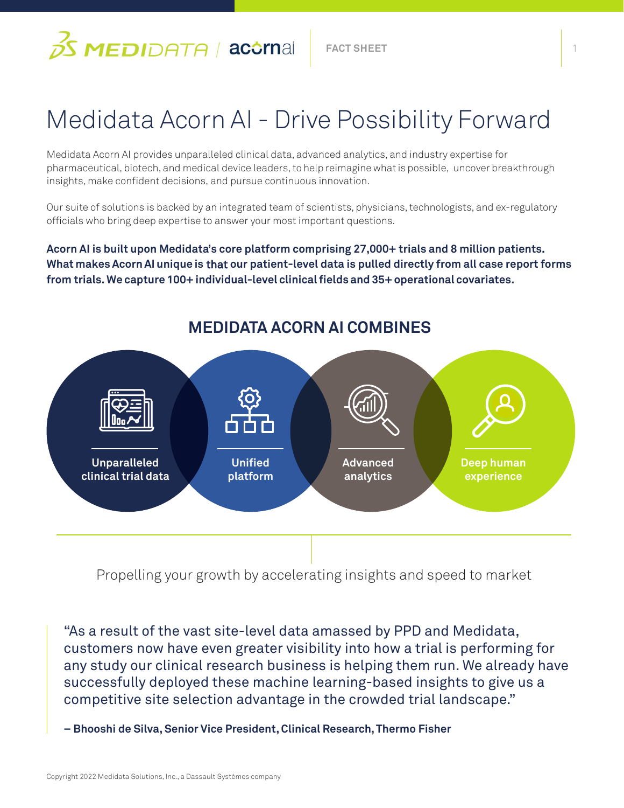

# Medidata Acorn AI - Drive Possibility Forward

Medidata Acorn AI provides unparalleled clinical data, advanced analytics, and industry expertise for pharmaceutical, biotech, and medical device leaders, to help reimagine what is possible, uncover breakthrough insights, make confident decisions, and pursue continuous innovation.

Our suite of solutions is backed by an integrated team of scientists, physicians, technologists, and ex-regulatory officials who bring deep expertise to answer your most important questions.

**Acorn AI is built upon Medidata's core platform comprising 27,000+ trials and 8 million patients. What makes Acorn AI unique is** that **our patient-level data is pulled directly from all case report forms from trials. We capture 100+ individual-level clinical fields and 35+ operational covariates.**



Propelling your growth by accelerating insights and speed to market

"As a result of the vast site-level data amassed by PPD and Medidata, customers now have even greater visibility into how a trial is performing for any study our clinical research business is helping them run. We already have successfully deployed these machine learning-based insights to give us a competitive site selection advantage in the crowded trial landscape."

**– Bhooshi de Silva, Senior Vice President, Clinical Research, Thermo Fisher**